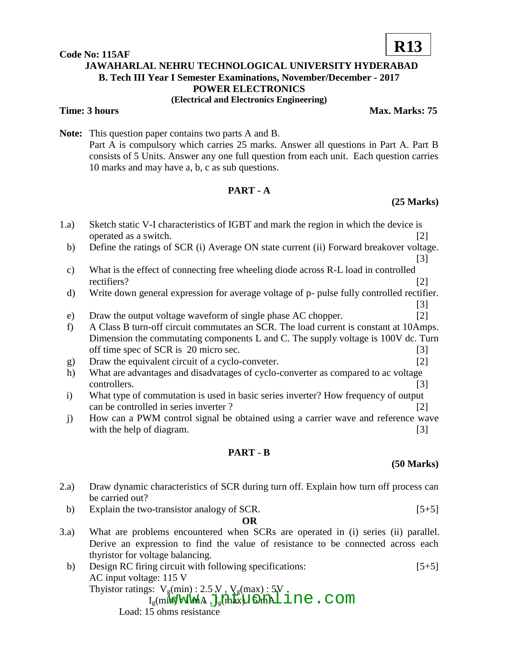# **Code No: 115AF JAWAHARLAL NEHRU TECHNOLOGICAL UNIVERSITY HYDERABAD B. Tech III Year I Semester Examinations, November/December - 2017 POWER ELECTRONICS (Electrical and Electronics Engineering)**

# **Time: 3 hours Max. Marks: 75**

**Note:** This question paper contains two parts A and B. Part A is compulsory which carries 25 marks. Answer all questions in Part A. Part B consists of 5 Units. Answer any one full question from each unit. Each question carries 10 marks and may have a, b, c as sub questions.

# **PART - A**

1.a) Sketch static V-I characteristics of IGBT and mark the region in which the device is

# **(25 Marks)**

|                 | operated as a switch.                                                                  | $[2]$                                                                                     |  |
|-----------------|----------------------------------------------------------------------------------------|-------------------------------------------------------------------------------------------|--|
| b)              | Define the ratings of SCR (i) Average ON state current (ii) Forward breakover voltage. |                                                                                           |  |
|                 |                                                                                        | $\lceil 3 \rceil$                                                                         |  |
| $\mathbf{c})$   | What is the effect of connecting free wheeling diode across R-L load in controlled     |                                                                                           |  |
|                 | rectifiers?                                                                            | $\lceil 2 \rceil$                                                                         |  |
| d)              |                                                                                        | Write down general expression for average voltage of p- pulse fully controlled rectifier. |  |
|                 |                                                                                        | [3]                                                                                       |  |
| e)              | Draw the output voltage waveform of single phase AC chopper.                           | [2]                                                                                       |  |
| f               | A Class B turn-off circuit commutates an SCR. The load current is constant at 10Amps.  |                                                                                           |  |
|                 | Dimension the commutating components L and C. The supply voltage is 100V dc. Turn      |                                                                                           |  |
|                 | off time spec of SCR is 20 micro sec.                                                  | $\lceil 3 \rceil$                                                                         |  |
| g)              | Draw the equivalent circuit of a cyclo-conveter.                                       | $\lceil 2 \rceil$                                                                         |  |
| h)              | What are advantages and disadvatages of cyclo-converter as compared to ac voltage      |                                                                                           |  |
|                 | controllers.                                                                           | $[3]$                                                                                     |  |
| $\mathbf{i}$    | What type of commutation is used in basic series inverter? How frequency of output     |                                                                                           |  |
|                 | can be controlled in series inverter?                                                  | [2]                                                                                       |  |
| $\mathbf{j}$    | How can a PWM control signal be obtained using a carrier wave and reference wave       |                                                                                           |  |
|                 | with the help of diagram.                                                              | $[3]$                                                                                     |  |
| <b>PART - B</b> |                                                                                        |                                                                                           |  |

# **(50 Marks)**

- 2.a) Draw dynamic characteristics of SCR during turn off. Explain how turn off process can be carried out?
	- b) Explain the two-transistor analogy of SCR.  $[5+5]$

# **OR**

- 3.a) What are problems encountered when SCRs are operated in (i) series (ii) parallel. Derive an expression to find the value of resistance to be connected across each thyristor for voltage balancing.
- b) Design RC firing circuit with following specifications: [5+5] AC input voltage: 115 V Thyistor ratings:  $V_g(\text{min})$ : 2.5 V,  $V_g(\text{max})$ : 5V  $I_{\text{g}}(\text{mi})$  :  $2.5$  M,  $V_{\text{g}}(\text{mi})$  :  $2.5$  M,  $V_{\text{g}}(\text{mi})$  :  $V_{\text{g}}(\text{mi})$  in e. com

Load: 15 ohms resistance

# **R13**